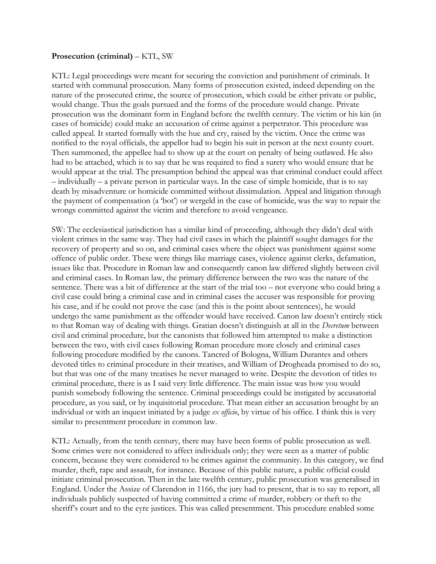## **Prosecution (criminal)** – KTL, SW

KTL: Legal proceedings were meant for securing the conviction and punishment of criminals. It started with communal prosecution. Many forms of prosecution existed, indeed depending on the nature of the prosecuted crime, the source of prosecution, which could be either private or public, would change. Thus the goals pursued and the forms of the procedure would change. Private prosecution was the dominant form in England before the twelfth century. The victim or his kin (in cases of homicide) could make an accusation of crime against a perpetrator. This procedure was called appeal. It started formally with the hue and cry, raised by the victim. Once the crime was notified to the royal officials, the appellor had to begin his suit in person at the next county court. Then summoned, the appellee had to show up at the court on penalty of being outlawed. He also had to be attached, which is to say that he was required to find a surety who would ensure that he would appear at the trial. The presumption behind the appeal was that criminal conduct could affect – individually – a private person in particular ways. In the case of simple homicide, that is to say death by misadventure or homicide committed without dissimulation. Appeal and litigation through the payment of compensation (a 'bot') or wergeld in the case of homicide, was the way to repair the wrongs committed against the victim and therefore to avoid vengeance.

SW: The ecclesiastical jurisdiction has a similar kind of proceeding, although they didn't deal with violent crimes in the same way. They had civil cases in which the plaintiff sought damages for the recovery of property and so on, and criminal cases where the object was punishment against some offence of public order. These were things like marriage cases, violence against clerks, defamation, issues like that. Procedure in Roman law and consequently canon law differed slightly between civil and criminal cases. In Roman law, the primary difference between the two was the nature of the sentence. There was a bit of difference at the start of the trial too – not everyone who could bring a civil case could bring a criminal case and in criminal cases the accuser was responsible for proving his case, and if he could not prove the case (and this is the point about sentences), he would undergo the same punishment as the offender would have received. Canon law doesn't entirely stick to that Roman way of dealing with things. Gratian doesn't distinguish at all in the *Decretum* between civil and criminal procedure, but the canonists that followed him attempted to make a distinction between the two, with civil cases following Roman procedure more closely and criminal cases following procedure modified by the canons. Tancred of Bologna, William Durantes and others devoted titles to criminal procedure in their treatises, and William of Drogheada promised to do so, but that was one of the many treatises he never managed to write. Despite the devotion of titles to criminal procedure, there is as I said very little difference. The main issue was how you would punish somebody following the sentence. Criminal proceedings could be instigated by accusatorial procedure, as you said, or by inquisitorial procedure. That mean either an accusation brought by an individual or with an inquest initiated by a judge *ex officio*, by virtue of his office. I think this is very similar to presentment procedure in common law.

KTL: Actually, from the tenth century, there may have been forms of public prosecution as well. Some crimes were not considered to affect individuals only; they were seen as a matter of public concern, because they were considered to be crimes against the community. In this category, we find murder, theft, rape and assault, for instance. Because of this public nature, a public official could initiate criminal prosecution. Then in the late twelfth century, public prosecution was generalised in England. Under the Assize of Clarendon in 1166, the jury had to present, that is to say to report, all individuals publicly suspected of having committed a crime of murder, robbery or theft to the sheriff's court and to the eyre justices. This was called presentment. This procedure enabled some